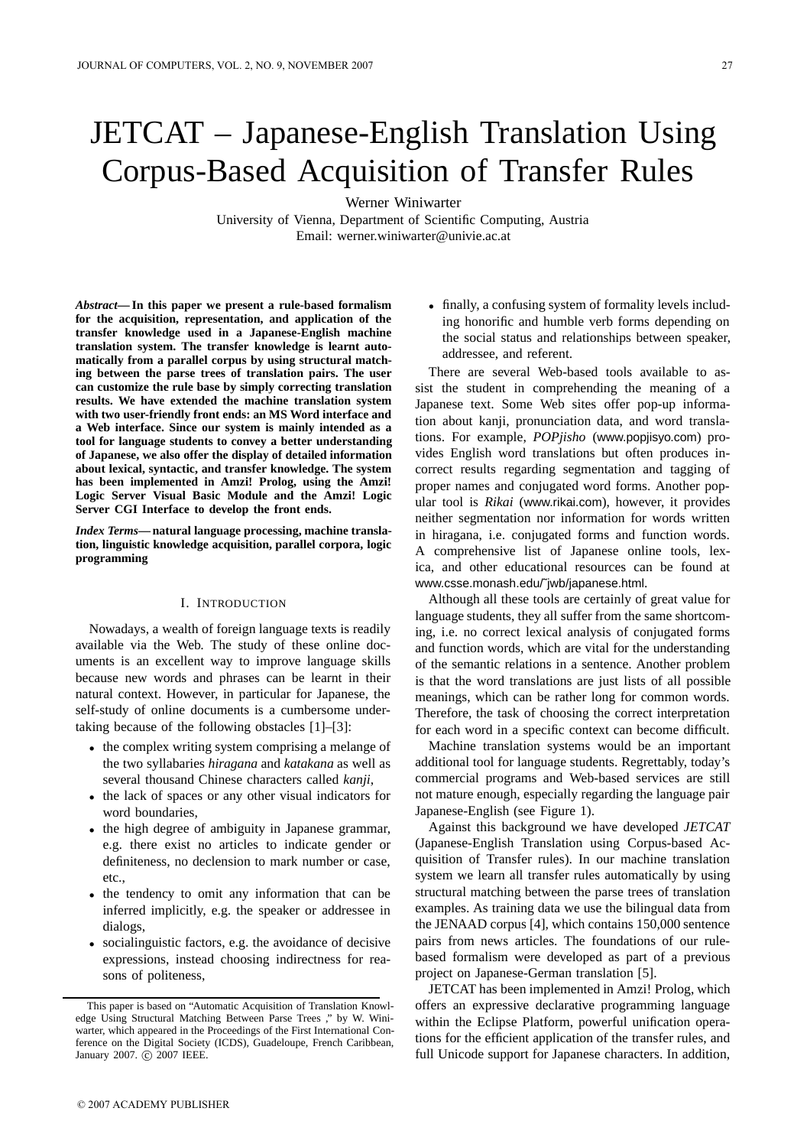# JETCAT – Japanese-English Translation Using Corpus-Based Acquisition of Transfer Rules

Werner Winiwarter

University of Vienna, Department of Scientific Computing, Austria Email: werner.winiwarter@univie.ac.at

*Abstract***— In this paper we present a rule-based formalism for the acquisition, representation, and application of the transfer knowledge used in a Japanese-English machine translation system. The transfer knowledge is learnt automatically from a parallel corpus by using structural matching between the parse trees of translation pairs. The user can customize the rule base by simply correcting translation results. We have extended the machine translation system with two user-friendly front ends: an MS Word interface and a Web interface. Since our system is mainly intended as a tool for language students to convey a better understanding of Japanese, we also offer the display of detailed information about lexical, syntactic, and transfer knowledge. The system has been implemented in Amzi! Prolog, using the Amzi! Logic Server Visual Basic Module and the Amzi! Logic Server CGI Interface to develop the front ends.**

*Index Terms***— natural language processing, machine translation, linguistic knowledge acquisition, parallel corpora, logic programming**

## I. INTRODUCTION

Nowadays, a wealth of foreign language texts is readily available via the Web. The study of these online documents is an excellent way to improve language skills because new words and phrases can be learnt in their natural context. However, in particular for Japanese, the self-study of online documents is a cumbersome undertaking because of the following obstacles [1]–[3]:

- the complex writing system comprising a melange of the two syllabaries *hiragana* and *katakana* as well as several thousand Chinese characters called *kanji*,
- the lack of spaces or any other visual indicators for word boundaries,
- the high degree of ambiguity in Japanese grammar, e.g. there exist no articles to indicate gender or definiteness, no declension to mark number or case, etc.,
- the tendency to omit any information that can be inferred implicitly, e.g. the speaker or addressee in dialogs,
- socialinguistic factors, e.g. the avoidance of decisive expressions, instead choosing indirectness for reasons of politeness,

• finally, a confusing system of formality levels including honorific and humble verb forms depending on the social status and relationships between speaker, addressee, and referent.

There are several Web-based tools available to assist the student in comprehending the meaning of a Japanese text. Some Web sites offer pop-up information about kanji, pronunciation data, and word translations. For example, *POPjisho* (www.popjisyo.com) provides English word translations but often produces incorrect results regarding segmentation and tagging of proper names and conjugated word forms. Another popular tool is *Rikai* (www.rikai.com), however, it provides neither segmentation nor information for words written in hiragana, i.e. conjugated forms and function words. A comprehensive list of Japanese online tools, lexica, and other educational resources can be found at www.csse.monash.edu/˜jwb/japanese.html.

Although all these tools are certainly of great value for language students, they all suffer from the same shortcoming, i.e. no correct lexical analysis of conjugated forms and function words, which are vital for the understanding of the semantic relations in a sentence. Another problem is that the word translations are just lists of all possible meanings, which can be rather long for common words. Therefore, the task of choosing the correct interpretation for each word in a specific context can become difficult.

Machine translation systems would be an important additional tool for language students. Regrettably, today's commercial programs and Web-based services are still not mature enough, especially regarding the language pair Japanese-English (see Figure 1).

Against this background we have developed *JETCAT* (Japanese-English Translation using Corpus-based Acquisition of Transfer rules). In our machine translation system we learn all transfer rules automatically by using structural matching between the parse trees of translation examples. As training data we use the bilingual data from the JENAAD corpus [4], which contains 150,000 sentence pairs from news articles. The foundations of our rulebased formalism were developed as part of a previous project on Japanese-German translation [5].

JETCAT has been implemented in Amzi! Prolog, which offers an expressive declarative programming language within the Eclipse Platform, powerful unification operations for the efficient application of the transfer rules, and full Unicode support for Japanese characters. In addition,

This paper is based on "Automatic Acquisition of Translation Knowledge Using Structural Matching Between Parse Trees ," by W. Winiwarter, which appeared in the Proceedings of the First International Conference on the Digital Society (ICDS), Guadeloupe, French Caribbean, January 2007. C 2007 IEEE.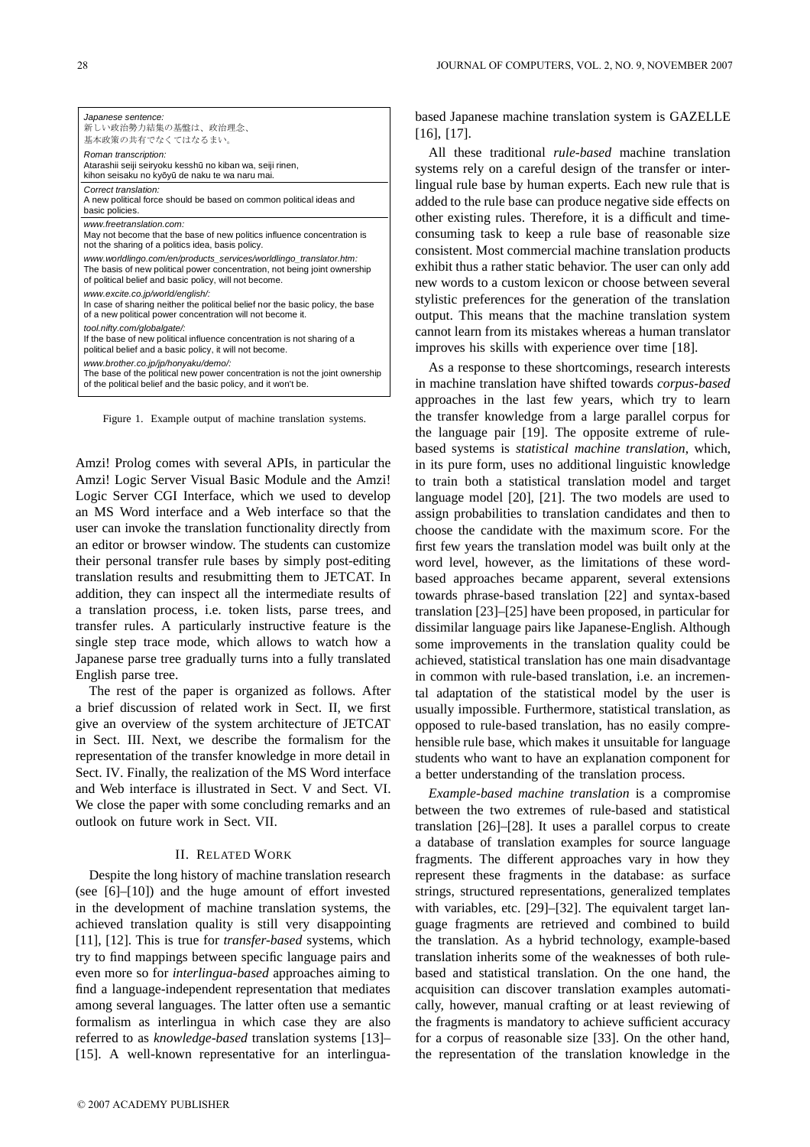| Japanese sentence:<br>新しい政治勢力結集の基盤は、政治理念、<br>基本政策の共有でなくてはなるまい。                                                                                                                                            |
|-----------------------------------------------------------------------------------------------------------------------------------------------------------------------------------------------------------|
| Roman transcription:<br>Atarashii seiji seiryoku kesshū no kiban wa, seiji rinen,<br>kihon seisaku no kyōyū de naku te wa naru mai.                                                                       |
| Correct translation:<br>A new political force should be based on common political ideas and<br>basic policies.                                                                                            |
| www freetranslation com-<br>May not become that the base of new politics influence concentration is<br>not the sharing of a politics idea, basis policy.                                                  |
| www.worldlingo.com/en/products_services/worldlingo_translator.htm:<br>The basis of new political power concentration, not being joint ownership<br>of political belief and basic policy, will not become. |
| www.excite.co.jp/world/english/:<br>In case of sharing neither the political belief nor the basic policy, the base<br>of a new political power concentration will not become it.                          |
| tool.nifty.com/globalgate/:<br>If the base of new political influence concentration is not sharing of a<br>political belief and a basic policy, it will not become.                                       |
| www.brother.co.jp/jp/honyaku/demo/:<br>The base of the political new power concentration is not the joint ownership<br>of the political belief and the basic policy, and it won't be.                     |
| Figure 1. Example output of machine translation systems.                                                                                                                                                  |

Amzi! Prolog comes with several APIs, in particular the Amzi! Logic Server Visual Basic Module and the Amzi! Logic Server CGI Interface, which we used to develop an MS Word interface and a Web interface so that the user can invoke the translation functionality directly from an editor or browser window. The students can customize their personal transfer rule bases by simply post-editing translation results and resubmitting them to JETCAT. In addition, they can inspect all the intermediate results of a translation process, i.e. token lists, parse trees, and transfer rules. A particularly instructive feature is the single step trace mode, which allows to watch how a Japanese parse tree gradually turns into a fully translated English parse tree.

The rest of the paper is organized as follows. After a brief discussion of related work in Sect. II, we first give an overview of the system architecture of JETCAT in Sect. III. Next, we describe the formalism for the representation of the transfer knowledge in more detail in Sect. IV. Finally, the realization of the MS Word interface and Web interface is illustrated in Sect. V and Sect. VI. We close the paper with some concluding remarks and an outlook on future work in Sect. VII.

## II. RELATED WORK

Despite the long history of machine translation research (see [6]–[10]) and the huge amount of effort invested in the development of machine translation systems, the achieved translation quality is still very disappointing [11], [12]. This is true for *transfer-based* systems, which try to find mappings between specific language pairs and even more so for *interlingua-based* approaches aiming to find a language-independent representation that mediates among several languages. The latter often use a semantic formalism as interlingua in which case they are also referred to as *knowledge-based* translation systems [13]– [15]. A well-known representative for an interlingua-

All these traditional *rule-based* machine translation systems rely on a careful design of the transfer or interlingual rule base by human experts. Each new rule that is added to the rule base can produce negative side effects on other existing rules. Therefore, it is a difficult and timeconsuming task to keep a rule base of reasonable size consistent. Most commercial machine translation products exhibit thus a rather static behavior. The user can only add new words to a custom lexicon or choose between several stylistic preferences for the generation of the translation output. This means that the machine translation system cannot learn from its mistakes whereas a human translator improves his skills with experience over time [18].

As a response to these shortcomings, research interests in machine translation have shifted towards *corpus-based* approaches in the last few years, which try to learn the transfer knowledge from a large parallel corpus for the language pair [19]. The opposite extreme of rulebased systems is *statistical machine translation*, which, in its pure form, uses no additional linguistic knowledge to train both a statistical translation model and target language model [20], [21]. The two models are used to assign probabilities to translation candidates and then to choose the candidate with the maximum score. For the first few years the translation model was built only at the word level, however, as the limitations of these wordbased approaches became apparent, several extensions towards phrase-based translation [22] and syntax-based translation [23]–[25] have been proposed, in particular for dissimilar language pairs like Japanese-English. Although some improvements in the translation quality could be achieved, statistical translation has one main disadvantage in common with rule-based translation, i.e. an incremental adaptation of the statistical model by the user is usually impossible. Furthermore, statistical translation, as opposed to rule-based translation, has no easily comprehensible rule base, which makes it unsuitable for language students who want to have an explanation component for a better understanding of the translation process.

*Example-based machine translation* is a compromise between the two extremes of rule-based and statistical translation [26]–[28]. It uses a parallel corpus to create a database of translation examples for source language fragments. The different approaches vary in how they represent these fragments in the database: as surface strings, structured representations, generalized templates with variables, etc. [29]–[32]. The equivalent target language fragments are retrieved and combined to build the translation. As a hybrid technology, example-based translation inherits some of the weaknesses of both rulebased and statistical translation. On the one hand, the acquisition can discover translation examples automatically, however, manual crafting or at least reviewing of the fragments is mandatory to achieve sufficient accuracy for a corpus of reasonable size [33]. On the other hand, the representation of the translation knowledge in the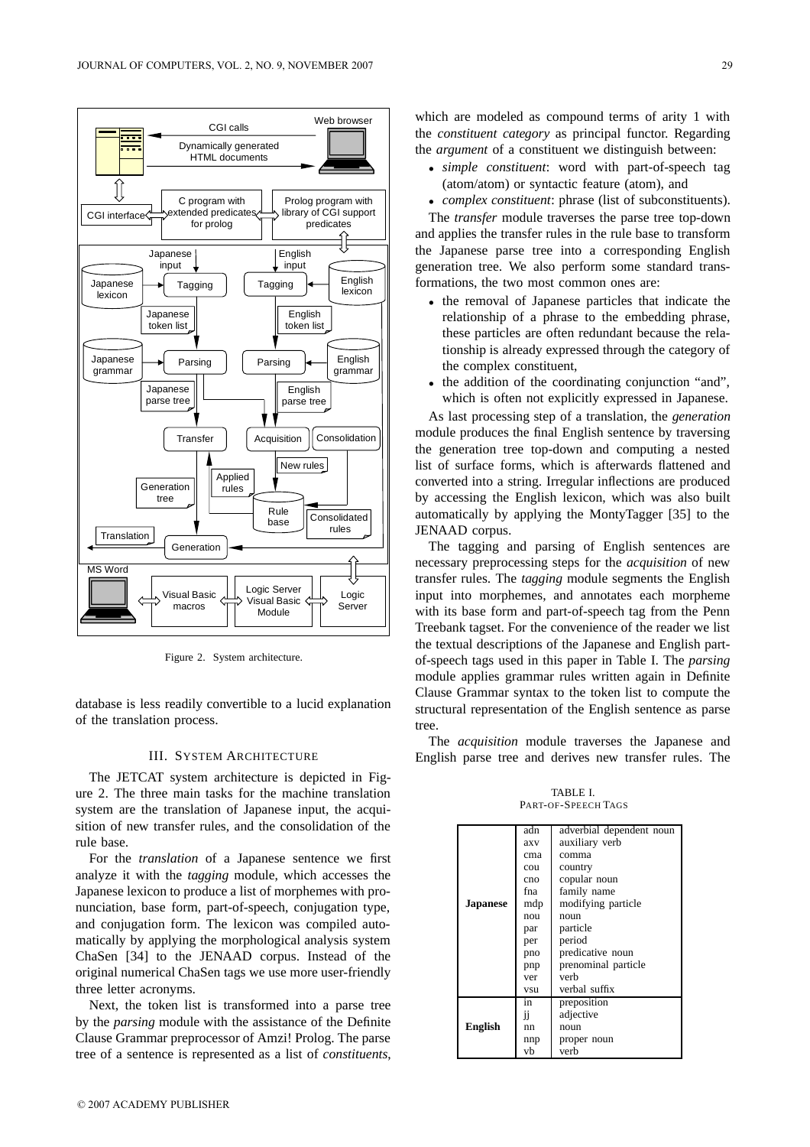

Figure 2. System architecture.

database is less readily convertible to a lucid explanation of the translation process.

# III. SYSTEM ARCHITECTURE

The JETCAT system architecture is depicted in Figure 2. The three main tasks for the machine translation system are the translation of Japanese input, the acquisition of new transfer rules, and the consolidation of the rule base.

For the *translation* of a Japanese sentence we first analyze it with the *tagging* module, which accesses the Japanese lexicon to produce a list of morphemes with pronunciation, base form, part-of-speech, conjugation type, and conjugation form. The lexicon was compiled automatically by applying the morphological analysis system ChaSen [34] to the JENAAD corpus. Instead of the original numerical ChaSen tags we use more user-friendly three letter acronyms.

Next, the token list is transformed into a parse tree by the *parsing* module with the assistance of the Definite Clause Grammar preprocessor of Amzi! Prolog. The parse tree of a sentence is represented as a list of *constituents*,

which are modeled as compound terms of arity 1 with the *constituent category* as principal functor. Regarding the *argument* of a constituent we distinguish between:

- *simple constituent*: word with part-of-speech tag (atom/atom) or syntactic feature (atom), and
- *complex constituent*: phrase (list of subconstituents).

The *transfer* module traverses the parse tree top-down and applies the transfer rules in the rule base to transform the Japanese parse tree into a corresponding English generation tree. We also perform some standard transformations, the two most common ones are:

- the removal of Japanese particles that indicate the relationship of a phrase to the embedding phrase, these particles are often redundant because the relationship is already expressed through the category of the complex constituent,
- the addition of the coordinating conjunction "and", which is often not explicitly expressed in Japanese.

As last processing step of a translation, the *generation* module produces the final English sentence by traversing the generation tree top-down and computing a nested list of surface forms, which is afterwards flattened and converted into a string. Irregular inflections are produced by accessing the English lexicon, which was also built automatically by applying the MontyTagger [35] to the JENAAD corpus.

The tagging and parsing of English sentences are necessary preprocessing steps for the *acquisition* of new transfer rules. The *tagging* module segments the English input into morphemes, and annotates each morpheme with its base form and part-of-speech tag from the Penn Treebank tagset. For the convenience of the reader we list the textual descriptions of the Japanese and English partof-speech tags used in this paper in Table I. The *parsing* module applies grammar rules written again in Definite Clause Grammar syntax to the token list to compute the structural representation of the English sentence as parse tree.

The *acquisition* module traverses the Japanese and English parse tree and derives new transfer rules. The

TABLE I. PART-OF-SPEECH TAGS

|                 | adn | adverbial dependent noun |
|-----------------|-----|--------------------------|
|                 | axy | auxiliary verb           |
|                 | cma | comma                    |
|                 | cou | country                  |
|                 | cno | copular noun             |
|                 | fna | family name              |
| <b>Japanese</b> | mdp | modifying particle       |
|                 | nou | $n$ $\alpha$ $n$         |
|                 | par | particle                 |
|                 | per | period                   |
|                 | pno | predicative noun         |
|                 | pnp | prenominal particle      |
|                 | ver | verb                     |
|                 | vsu | verbal suffix            |
|                 | in  | preposition              |
|                 | Ħ   | adjective                |
| English         | nn  | noun                     |
|                 | nnp | proper noun              |
|                 | vb  | verb                     |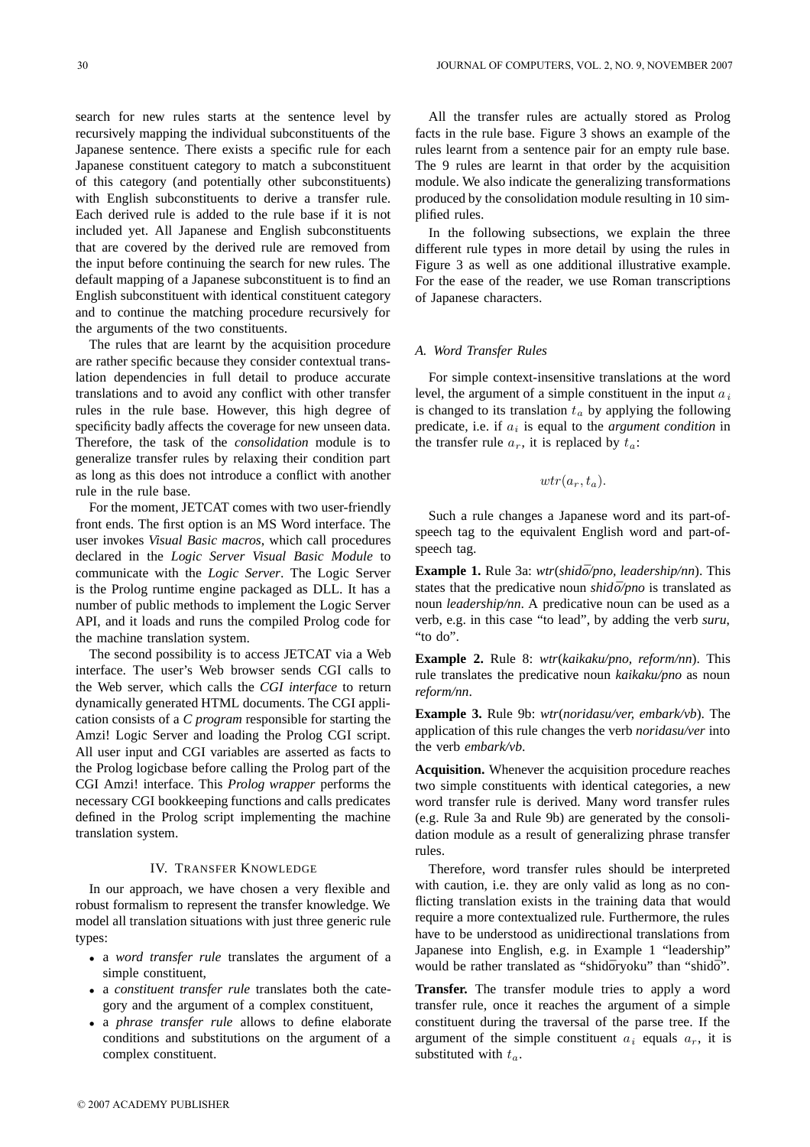search for new rules starts at the sentence level by recursively mapping the individual subconstituents of the Japanese sentence. There exists a specific rule for each Japanese constituent category to match a subconstituent of this category (and potentially other subconstituents) with English subconstituents to derive a transfer rule. Each derived rule is added to the rule base if it is not included yet. All Japanese and English subconstituents that are covered by the derived rule are removed from the input before continuing the search for new rules. The default mapping of a Japanese subconstituent is to find an English subconstituent with identical constituent category and to continue the matching procedure recursively for the arguments of the two constituents.

The rules that are learnt by the acquisition procedure are rather specific because they consider contextual translation dependencies in full detail to produce accurate translations and to avoid any conflict with other transfer rules in the rule base. However, this high degree of specificity badly affects the coverage for new unseen data. Therefore, the task of the *consolidation* module is to generalize transfer rules by relaxing their condition part as long as this does not introduce a conflict with another rule in the rule base.

For the moment, JETCAT comes with two user-friendly front ends. The first option is an MS Word interface. The user invokes *Visual Basic macros*, which call procedures declared in the *Logic Server Visual Basic Module* to communicate with the *Logic Server*. The Logic Server is the Prolog runtime engine packaged as DLL. It has a number of public methods to implement the Logic Server API, and it loads and runs the compiled Prolog code for the machine translation system.

The second possibility is to access JETCAT via a Web interface. The user's Web browser sends CGI calls to the Web server, which calls the *CGI interface* to return dynamically generated HTML documents. The CGI application consists of a *C program* responsible for starting the Amzi! Logic Server and loading the Prolog CGI script. All user input and CGI variables are asserted as facts to the Prolog logicbase before calling the Prolog part of the CGI Amzi! interface. This *Prolog wrapper* performs the necessary CGI bookkeeping functions and calls predicates defined in the Prolog script implementing the machine translation system.

#### IV. TRANSFER KNOWLEDGE

In our approach, we have chosen a very flexible and robust formalism to represent the transfer knowledge. We model all translation situations with just three generic rule types:

- a *word transfer rule* translates the argument of a simple constituent,
- a *constituent transfer rule* translates both the category and the argument of a complex constituent,
- a *phrase transfer rule* allows to define elaborate conditions and substitutions on the argument of a complex constituent.

All the transfer rules are actually stored as Prolog facts in the rule base. Figure 3 shows an example of the rules learnt from a sentence pair for an empty rule base. The 9 rules are learnt in that order by the acquisition module. We also indicate the generalizing transformations produced by the consolidation module resulting in 10 simplified rules.

In the following subsections, we explain the three different rule types in more detail by using the rules in Figure 3 as well as one additional illustrative example. For the ease of the reader, we use Roman transcriptions of Japanese characters.

# *A. Word Transfer Rules*

For simple context-insensitive translations at the word level, the argument of a simple constituent in the input  $a_i$ is changed to its translation  $t_a$  by applying the following predicate, i.e. if  $a_i$  is equal to the *argument condition* in the transfer rule  $a_r$ , it is replaced by  $t_a$ :

$$
wtr(a_r, t_a).
$$

Such a rule changes a Japanese word and its part-ofspeech tag to the equivalent English word and part-ofspeech tag.

**Example 1.** Rule 3a: *wtr*(*shido/pno, leadership/nn ¯* ). This states that the predicative noun  $\frac{\sinh(\bar{\phi})}{p}$  is translated as noun *leadership/nn*. A predicative noun can be used as a verb, e.g. in this case "to lead", by adding the verb *suru*, "to do".

**Example 2.** Rule 8: *wtr*(*kaikaku/pno, reform/nn*). This rule translates the predicative noun *kaikaku/pno* as noun *reform/nn*.

**Example 3.** Rule 9b: *wtr*(*noridasu/ver, embark/vb*). The application of this rule changes the verb *noridasu/ver* into the verb *embark/vb*.

**Acquisition.** Whenever the acquisition procedure reaches two simple constituents with identical categories, a new word transfer rule is derived. Many word transfer rules (e.g. Rule 3a and Rule 9b) are generated by the consolidation module as a result of generalizing phrase transfer rules.

Therefore, word transfer rules should be interpreted with caution, i.e. they are only valid as long as no conflicting translation exists in the training data that would require a more contextualized rule. Furthermore, the rules have to be understood as unidirectional translations from Japanese into English, e.g. in Example 1 "leadership" would be rather translated as "shidōryoku" than "shidō".

**Transfer.** The transfer module tries to apply a word transfer rule, once it reaches the argument of a simple constituent during the traversal of the parse tree. If the argument of the simple constituent  $a_i$  equals  $a_r$ , it is substituted with  $t_a$ .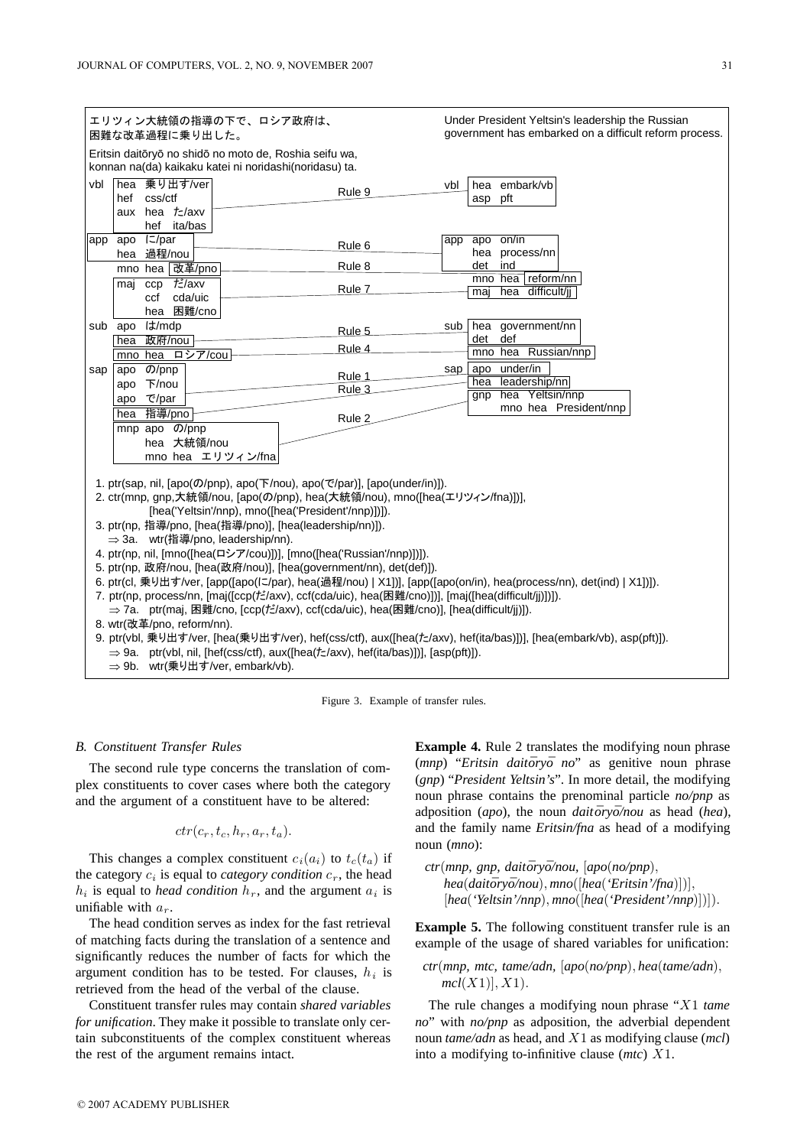

Figure 3. Example of transfer rules.

## *B. Constituent Transfer Rules*

The second rule type concerns the translation of complex constituents to cover cases where both the category and the argument of a constituent have to be altered:

$$
ctr(c_r, t_c, h_r, a_r, t_a).
$$

This changes a complex constituent  $c_i(a_i)$  to  $t_c(t_a)$  if the category  $c_i$  is equal to *category condition*  $c_r$ , the head  $h_i$  is equal to *head condition*  $h_r$ , and the argument  $a_i$  is unifiable with  $a_r$ .

The head condition serves as index for the fast retrieval of matching facts during the translation of a sentence and significantly reduces the number of facts for which the argument condition has to be tested. For clauses,  $h_i$  is retrieved from the head of the verbal of the clause.

Constituent transfer rules may contain *shared variables for unification*. They make it possible to translate only certain subconstituents of the complex constituent whereas the rest of the argument remains intact.

**Example 4.** Rule 2 translates the modifying noun phrase (*mnp*) "*Eritsin daitoryo no*" as genitive noun phrase (*gnp*) "*President Yeltsin's*". In more detail, the modifying noun phrase contains the prenominal particle *no/pnp* as adposition (*apo*), the noun *daitory*<sub> $\bar{o}$ </sub> *nou* as head (*hea*), and the family name *Eritsin/fna* as head of a modifying noun (*mno*):

*ctr*(*mnp, gnp, daitory ¯ o/nou, ¯* [*apo*(*no/pnp*), *hea*(*daitory ¯ o/nou ¯* ), *mno*([*hea*(*'Eritsin'/fna*)])], [*hea*(*'Yeltsin'/nnp*), *mno*([*hea*(*'President'/nnp*)])]).

**Example 5.** The following constituent transfer rule is an example of the usage of shared variables for unification:

*ctr*(*mnp, mtc, tame/adn,* [*apo*(*no/pnp*), *hea*(*tame/adn*),  $mcl(X1)$ ,  $X1$ ).

The rule changes a modifying noun phrase "X1 *tame no*" with *no/pnp* as adposition, the adverbial dependent noun *tame/adn* as head, and X1 as modifying clause (*mcl*) into a modifying to-infinitive clause (*mtc*) X1.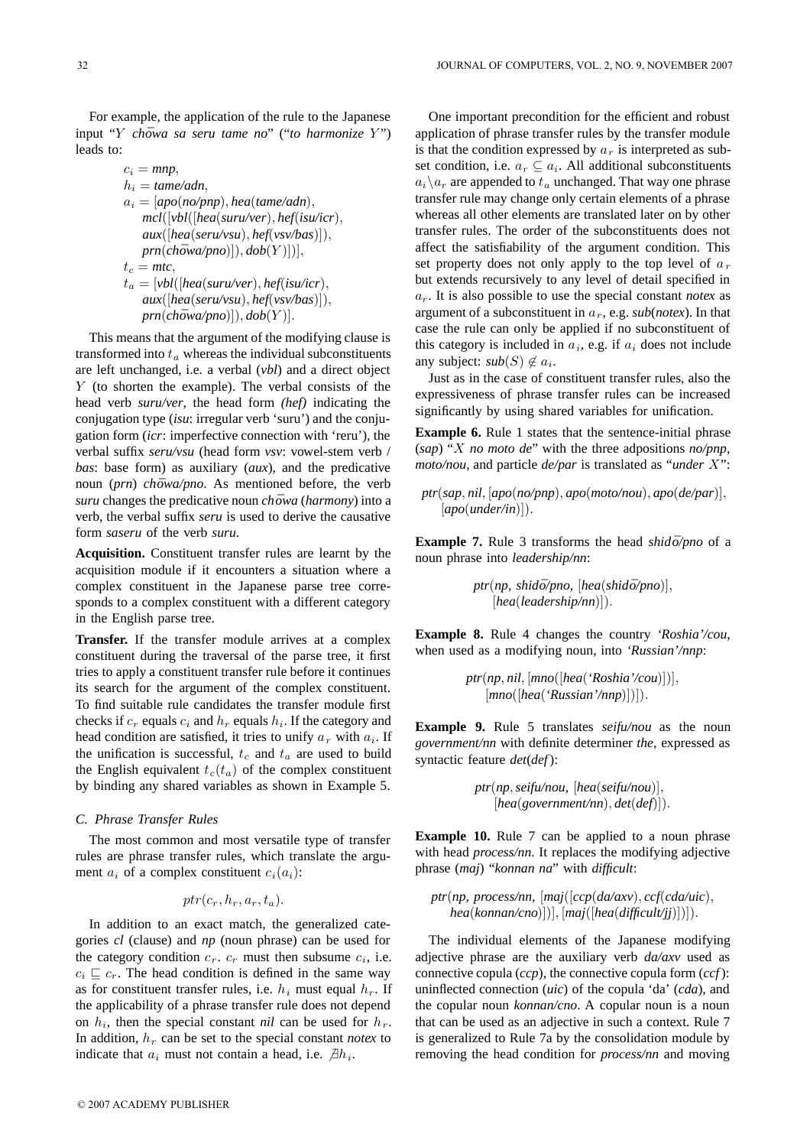For example, the application of the rule to the Japanese input "Y *chōwa sa seru tame no*" ("*to harmonize Y*") leads to:

$$
c_i = mnp,
$$
\n
$$
h_i = \ntame/adn,
$$
\n
$$
a_i = [apo(no/pnp), hea(tame/adn),
$$
\n
$$
mcl([vbl([hea(suru/ver), hef(isu/ocr),\naux([hea(seru/vsu), hef(vsv/bas)]),\nprn(chōwa/pno)]), dob(Y)])],
$$
\n
$$
t_c = mtc,
$$
\n
$$
t_a = [vbl([hea(suru/ver), hef(isu/ocr),\naux([hea(seru/vsu), hef(vsv/bas)]),\nprn(chōwa/pno)]), dob(Y)].
$$

This means that the argument of the modifying clause is transformed into  $t_a$  whereas the individual subconstituents are left unchanged, i.e. a verbal (*vbl*) and a direct object Y (to shorten the example). The verbal consists of the head verb *suru/ver*, the head form *(hef)* indicating the conjugation type (*isu*: irregular verb 'suru') and the conjugation form (*icr*: imperfective connection with 'reru'), the verbal suffix *seru/vsu* (head form *vsv*: vowel-stem verb / *bas*: base form) as auxiliary (*aux*), and the predicative noun (*prn*) *chōwa/pno*. As mentioned before, the verb  $suru$  changes the predicative noun *chowa (harmony)* into a verb, the verbal suffix *seru* is used to derive the causative form *saseru* of the verb *suru*.

**Acquisition.** Constituent transfer rules are learnt by the acquisition module if it encounters a situation where a complex constituent in the Japanese parse tree corresponds to a complex constituent with a different category in the English parse tree.

**Transfer.** If the transfer module arrives at a complex constituent during the traversal of the parse tree, it first tries to apply a constituent transfer rule before it continues its search for the argument of the complex constituent. To find suitable rule candidates the transfer module first checks if  $c_r$  equals  $c_i$  and  $h_r$  equals  $h_i$ . If the category and head condition are satisfied, it tries to unify  $a_r$  with  $a_i$ . If the unification is successful,  $t_c$  and  $t_a$  are used to build the English equivalent  $t_c(t_a)$  of the complex constituent by binding any shared variables as shown in Example 5.

# *C. Phrase Transfer Rules*

The most common and most versatile type of transfer rules are phrase transfer rules, which translate the argument  $a_i$  of a complex constituent  $c_i(a_i)$ :

$$
ptr(c_r, h_r, a_r, t_a).
$$

In addition to an exact match, the generalized categories *cl* (clause) and *np* (noun phrase) can be used for the category condition  $c_r$ .  $c_r$  must then subsume  $c_i$ , i.e.  $c_i \nightharpoonup c_r$ . The head condition is defined in the same way as for constituent transfer rules, i.e.  $h_i$  must equal  $h_r$ . If the applicability of a phrase transfer rule does not depend on  $h_i$ , then the special constant *nil* can be used for  $h_r$ . In addition,  $h_r$  can be set to the special constant *notex* to indicate that  $a_i$  must not contain a head, i.e.  $\exists h_i$ .

One important precondition for the efficient and robust application of phrase transfer rules by the transfer module is that the condition expressed by  $a_r$  is interpreted as subset condition, i.e.  $a_r \subseteq a_i$ . All additional subconstituents  $a_i\backslash a_r$  are appended to  $t_a$  unchanged. That way one phrase transfer rule may change only certain elements of a phrase whereas all other elements are translated later on by other transfer rules. The order of the subconstituents does not affect the satisfiability of the argument condition. This set property does not only apply to the top level of  $a_r$ but extends recursively to any level of detail specified in  $a_r$ . It is also possible to use the special constant *notex* as argument of a subconstituent in  $a_r$ , e.g.  $sub(notex)$ . In that case the rule can only be applied if no subconstituent of this category is included in  $a_i$ , e.g. if  $a_i$  does not include any subject:  $\mathit{sub}(S) \notin a_i$ .

Just as in the case of constituent transfer rules, also the expressiveness of phrase transfer rules can be increased significantly by using shared variables for unification.

**Example 6.** Rule 1 states that the sentence-initial phrase (*sap*) "X *no moto de*" with the three adpositions *no/pnp*, *moto/nou*, and particle *de/par* is translated as "*under* X":

$$
ptr(sap, nil, [apo(no/pp), apo(moto/nou), apo(de/par)], [apo(under/in)]).
$$

**Example 7.** Rule 3 transforms the head  $\frac{\delta}{\delta p}$  *no* of a noun phrase into *leadership/nn*:

$$
ptr(np, \; shid\bar{o}/pno, \;[hea(shid\bar{o}/pno)], \\ [hea(leading/nn)]).
$$

**Example 8.** Rule 4 changes the country *'Roshia'/cou*, when used as a modifying noun, into *'Russian'/nnp*:

$$
ptr(np, nil, [mno([hea('Roshia'/cou)])],\\ [mno([hea('Russian'/nnp)])]).
$$

**Example 9.** Rule 5 translates *seifu/nou* as the noun *government/nn* with definite determiner *the*, expressed as syntactic feature *det*(*def*):

> *ptr*(*np*,*seifu/nou,* [*hea*(*seifu/nou*)], [*hea*(*government/nn*), *det*(*def*)]).

**Example 10.** Rule 7 can be applied to a noun phrase with head *process/nn*. It replaces the modifying adjective phrase (*maj*) "*konnan na*" with *difficult*:

$$
ptr(np, process/nn, [maj([ccp(da/axv), ccf(cda/uc),\text{head}(konnan/cno)])], [maj([hea(dtfficult/jj)])]).
$$

The individual elements of the Japanese modifying adjective phrase are the auxiliary verb *da/axv* used as connective copula (*ccp*), the connective copula form (*ccf*): uninflected connection (*uic*) of the copula 'da' (*cda*), and the copular noun *konnan/cno*. A copular noun is a noun that can be used as an adjective in such a context. Rule 7 is generalized to Rule 7a by the consolidation module by removing the head condition for *process/nn* and moving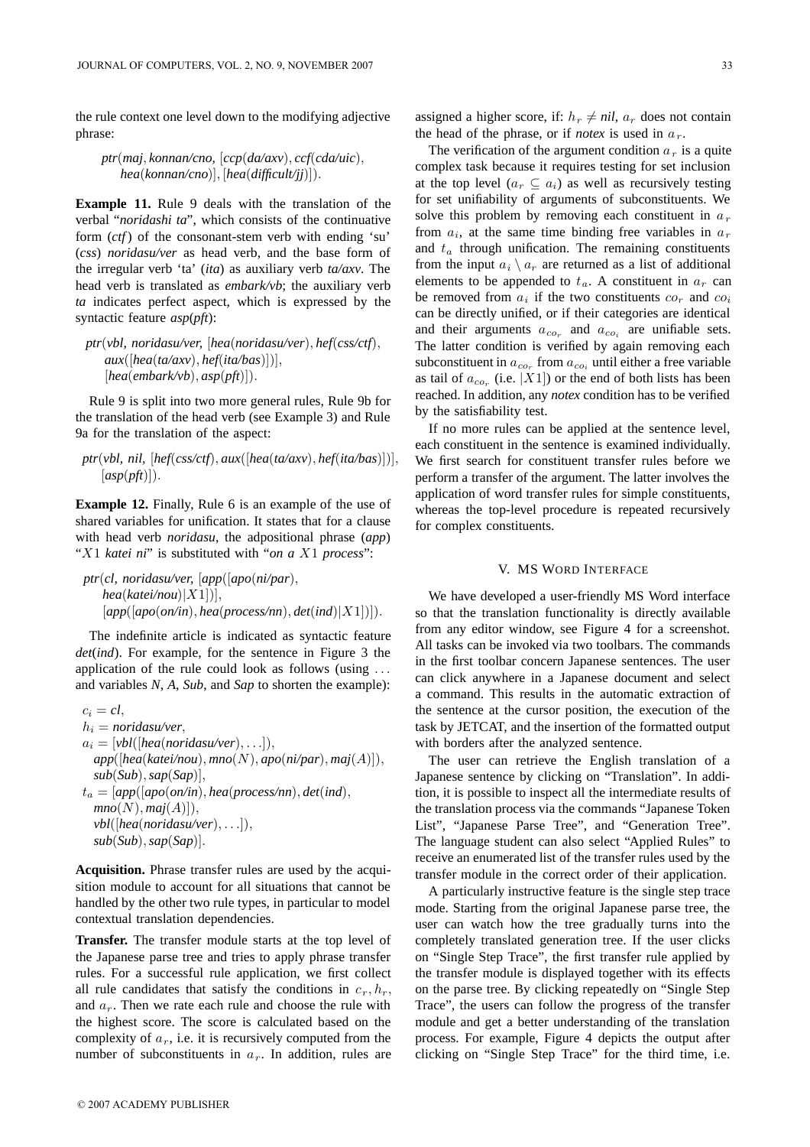the rule context one level down to the modifying adjective phrase:

*ptr*(*maj*, *konnan/cno,* [*ccp*(*da/axv*), *ccf*(*cda/uic*), *hea*(*konnan/cno*)], [*hea*(*difficult/jj*)]).

**Example 11.** Rule 9 deals with the translation of the verbal "*noridashi ta*", which consists of the continuative form (*ctf*) of the consonant-stem verb with ending 'su' (*css*) *noridasu/ver* as head verb, and the base form of the irregular verb 'ta' (*ita*) as auxiliary verb *ta/axv*. The head verb is translated as *embark/vb*; the auxiliary verb *ta* indicates perfect aspect, which is expressed by the syntactic feature *asp*(*pft*):

*ptr*(*vbl, noridasu/ver,* [*hea*(*noridasu/ver*), *hef*(*css/ctf*), *aux*([*hea*(*ta/axv*), *hef*(*ita/bas*)])],  $[hea(embark/b), asp(pt)].$ 

Rule 9 is split into two more general rules, Rule 9b for the translation of the head verb (see Example 3) and Rule 9a for the translation of the aspect:

*ptr*(*vbl, nil,* [*hef*(*css/ctf*), *aux*([*hea*(*ta/axv*), *hef*(*ita/bas*)])], [*asp*(*pft*)]).

**Example 12.** Finally, Rule 6 is an example of the use of shared variables for unification. It states that for a clause with head verb *noridasu*, the adpositional phrase (*app*) "X1 *katei ni*" is substituted with "*on a* X1 *process*":

*ptr*(*cl, noridasu/ver,* [*app*([*apo*(*ni/par*), *hea*(*katei/nou*)|X1])], [*app*([*apo*(*on/in*), *hea*(*process/nn*), *det*(*ind*)|X1])]).

The indefinite article is indicated as syntactic feature *det*(*ind*). For example, for the sentence in Figure 3 the application of the rule could look as follows (using ... and variables *N*, *A*, *Sub*, and *Sap* to shorten the example):

 $c_i = cl$ ,  $h_i =$ *noridasu/ver*,  $a_i = [vbl([hea(noridasu/ver), \ldots]),$  $app([hea(katei/hou), mno(N), apo(ni/par), maj(A)]),$ *sub*(*Sub*),*sap*(*Sap*)], t<sup>a</sup> = [*app*([*apo*(*on/in*), *hea*(*process/nn*), *det*(*ind*),  $mno(N), maj(A)]$ , *vbl*([*hea*(*noridasu/ver*),...]), *sub*(*Sub*),*sap*(*Sap*)].

**Acquisition.** Phrase transfer rules are used by the acquisition module to account for all situations that cannot be handled by the other two rule types, in particular to model contextual translation dependencies.

**Transfer.** The transfer module starts at the top level of the Japanese parse tree and tries to apply phrase transfer rules. For a successful rule application, we first collect all rule candidates that satisfy the conditions in  $c_r$ ,  $h_r$ , and  $a_r$ . Then we rate each rule and choose the rule with the highest score. The score is calculated based on the complexity of  $a_r$ , i.e. it is recursively computed from the number of subconstituents in  $a_r$ . In addition, rules are

assigned a higher score, if:  $h_r \neq nil$ ,  $a_r$  does not contain the head of the phrase, or if *notex* is used in  $a_r$ .

The verification of the argument condition  $a_r$  is a quite complex task because it requires testing for set inclusion at the top level  $(a_r \subseteq a_i)$  as well as recursively testing for set unifiability of arguments of subconstituents. We solve this problem by removing each constituent in  $a_r$ from  $a_i$ , at the same time binding free variables in  $a_r$ and  $t_a$  through unification. The remaining constituents from the input  $a_i \setminus a_r$  are returned as a list of additional elements to be appended to  $t_a$ . A constituent in  $a_r$  can be removed from  $a_i$  if the two constituents  $co_r$  and  $co_i$ can be directly unified, or if their categories are identical and their arguments  $a_{co_r}$  and  $a_{co_i}$  are unifiable sets. The latter condition is verified by again removing each subconstituent in  $a_{co_r}$  from  $a_{co_i}$  until either a free variable as tail of  $a_{co_r}$  (i.e. |X1]) or the end of both lists has been reached. In addition, any *notex* condition has to be verified by the satisfiability test.

If no more rules can be applied at the sentence level, each constituent in the sentence is examined individually. We first search for constituent transfer rules before we perform a transfer of the argument. The latter involves the application of word transfer rules for simple constituents, whereas the top-level procedure is repeated recursively for complex constituents.

## V. MS WORD INTERFACE

We have developed a user-friendly MS Word interface so that the translation functionality is directly available from any editor window, see Figure 4 for a screenshot. All tasks can be invoked via two toolbars. The commands in the first toolbar concern Japanese sentences. The user can click anywhere in a Japanese document and select a command. This results in the automatic extraction of the sentence at the cursor position, the execution of the task by JETCAT, and the insertion of the formatted output with borders after the analyzed sentence.

The user can retrieve the English translation of a Japanese sentence by clicking on "Translation". In addition, it is possible to inspect all the intermediate results of the translation process via the commands "Japanese Token List", "Japanese Parse Tree", and "Generation Tree". The language student can also select "Applied Rules" to receive an enumerated list of the transfer rules used by the transfer module in the correct order of their application.

A particularly instructive feature is the single step trace mode. Starting from the original Japanese parse tree, the user can watch how the tree gradually turns into the completely translated generation tree. If the user clicks on "Single Step Trace", the first transfer rule applied by the transfer module is displayed together with its effects on the parse tree. By clicking repeatedly on "Single Step Trace", the users can follow the progress of the transfer module and get a better understanding of the translation process. For example, Figure 4 depicts the output after clicking on "Single Step Trace" for the third time, i.e.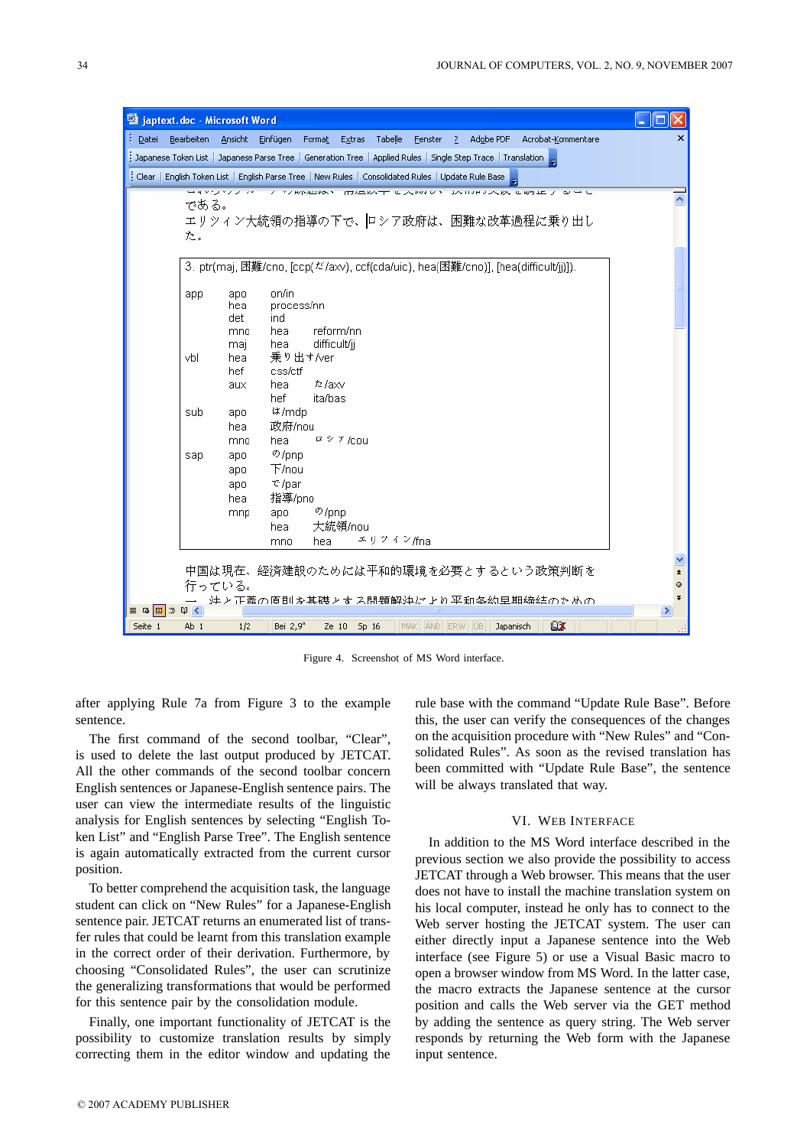| iaptext.doc - Microsoft Word                                                                                  | -  □ ×                         |
|---------------------------------------------------------------------------------------------------------------|--------------------------------|
| Bearbeiten<br>Ansicht<br>Einfügen<br>Datei<br>Format Extras<br>Tabelle<br>Adobe PDF<br>Fenster<br>-7 -        | $\times$<br>Acrobat-Kommentare |
| Japanese Token List   Japanese Parse Tree   Generation Tree   Applied Rules   Single Step Trace   Translation |                                |
| English Token List   English Parse Tree   New Rules   Consolidated Rules   Update Rule Base  <br>: Clear      |                                |
| <b>A YO REPAIRING</b><br>ITACHATE CARRIELY JATHLANA CHAIL /                                                   |                                |
| である。                                                                                                          |                                |
| エリツィン大統領の指導の下で、ロシア政府は、困難な改革過程に乗り出し                                                                            |                                |
| た。                                                                                                            |                                |
| 3. ptr(maj. 困難/cno. [ccp(だ/axv). ccf(cda/uic). hea(困難/cno)]. [hea(difficult/ii)]).                            |                                |
|                                                                                                               |                                |
| on/in<br>app<br>apo                                                                                           |                                |
| hea<br>process/nn                                                                                             |                                |
| det<br>ind<br>reform/nn<br>hea<br>mno                                                                         |                                |
| difficult/ji<br>hea<br>maj                                                                                    |                                |
| 乗り出す/ver<br>vbl<br>hea                                                                                        |                                |
| css/ctf<br>hef                                                                                                |                                |
| た/axv<br>hea<br>aux                                                                                           |                                |
| hef<br>ita/bas                                                                                                |                                |
| は/mdp<br>sub<br>apo<br>政府/nou<br>hea                                                                          |                                |
| ロシア/cou<br>hea<br>mno                                                                                         |                                |
| $\mathcal{D}/\mathsf{pnp}$<br>sap<br>apo                                                                      |                                |
| 下/nou<br>apo                                                                                                  |                                |
| で/par<br>apo                                                                                                  |                                |
| 指導/pno<br>hea                                                                                                 |                                |
| $\mathcal{D}/\mathsf{pnp}$<br>apo<br>mnp                                                                      |                                |
| 大統領/nou<br>hea                                                                                                |                                |
| エリツィン/fna<br>hea<br>mno                                                                                       |                                |
| 中国は現在、経済建設のためには平和的環境を必要とするという政策判断を                                                                            |                                |
| 行っている。                                                                                                        |                                |
| 注之正義の原則を其礎とする問題解沖により平和条約早期締結のための                                                                              |                                |
| $\equiv$ 5 $\equiv$ 8 $\parallel$                                                                             | ⊁                              |
| Seite 1<br>Ab <sub>1</sub><br>1/2<br>Bei 2,9"<br>Ze 10 Sp 16<br>MAK AND ERW UB<br>Japanisch                   | <b>Lix</b>                     |

Figure 4. Screenshot of MS Word interface.

after applying Rule 7a from Figure 3 to the example sentence.

The first command of the second toolbar, "Clear", is used to delete the last output produced by JETCAT. All the other commands of the second toolbar concern English sentences or Japanese-English sentence pairs. The user can view the intermediate results of the linguistic analysis for English sentences by selecting "English Token List" and "English Parse Tree". The English sentence is again automatically extracted from the current cursor position.

To better comprehend the acquisition task, the language student can click on "New Rules" for a Japanese-English sentence pair. JETCAT returns an enumerated list of transfer rules that could be learnt from this translation example in the correct order of their derivation. Furthermore, by choosing "Consolidated Rules", the user can scrutinize the generalizing transformations that would be performed for this sentence pair by the consolidation module.

Finally, one important functionality of JETCAT is the possibility to customize translation results by simply correcting them in the editor window and updating the rule base with the command "Update Rule Base". Before this, the user can verify the consequences of the changes on the acquisition procedure with "New Rules" and "Consolidated Rules". As soon as the revised translation has been committed with "Update Rule Base", the sentence will be always translated that way.

#### VI. WEB INTERFACE

In addition to the MS Word interface described in the previous section we also provide the possibility to access JETCAT through a Web browser. This means that the user does not have to install the machine translation system on his local computer, instead he only has to connect to the Web server hosting the JETCAT system. The user can either directly input a Japanese sentence into the Web interface (see Figure 5) or use a Visual Basic macro to open a browser window from MS Word. In the latter case, the macro extracts the Japanese sentence at the cursor position and calls the Web server via the GET method by adding the sentence as query string. The Web server responds by returning the Web form with the Japanese input sentence.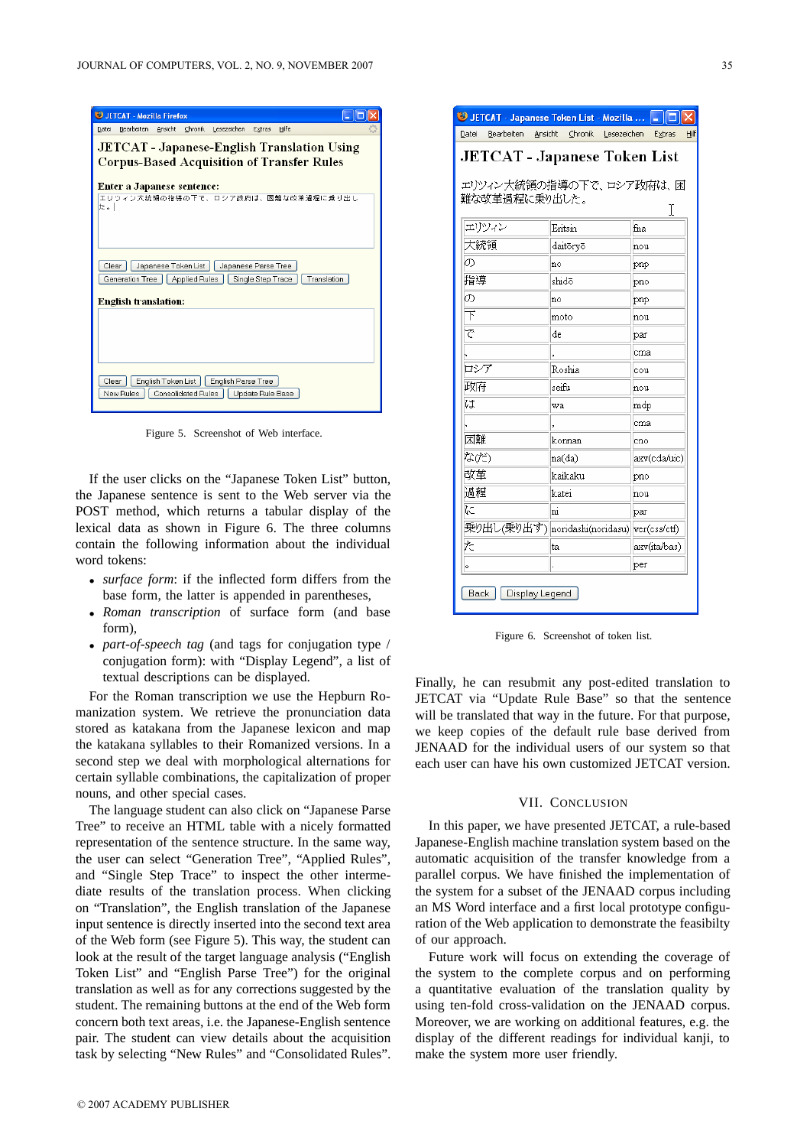| <b>UD JETCAT - Mozilla Firefox</b>                                                                                         |
|----------------------------------------------------------------------------------------------------------------------------|
| Ansicht Chronik<br>Bearbeiten<br>Lesezeichen<br>Hilfe<br>Datei<br>Extras                                                   |
| JETCAT - Japanese-English Translation Using<br><b>Corpus-Based Acquisition of Transfer Rules</b>                           |
| <b>Enter a Japanese sentence:</b>                                                                                          |
| エリツィン大統領の指導の下で、ロシア政府は、困難な改革過程に乗り出し<br>た。                                                                                   |
| Japanese Token List   Japanese Parse Tree<br>Clear<br>Generation Tree<br>Translation<br>Applied Rules<br>Single Step Trace |
| <b>English translation:</b>                                                                                                |
|                                                                                                                            |
| English Token List  <br>English Parse Tree<br>Clear<br>New Rules<br>Consolidated Rules<br>Update Rule Base                 |

Figure 5. Screenshot of Web interface.

If the user clicks on the "Japanese Token List" button, the Japanese sentence is sent to the Web server via the POST method, which returns a tabular display of the lexical data as shown in Figure 6. The three columns contain the following information about the individual word tokens:

- *surface form*: if the inflected form differs from the base form, the latter is appended in parentheses,
- *Roman transcription* of surface form (and base form),
- *part-of-speech tag* (and tags for conjugation type / conjugation form): with "Display Legend", a list of textual descriptions can be displayed.

For the Roman transcription we use the Hepburn Romanization system. We retrieve the pronunciation data stored as katakana from the Japanese lexicon and map the katakana syllables to their Romanized versions. In a second step we deal with morphological alternations for certain syllable combinations, the capitalization of proper nouns, and other special cases.

The language student can also click on "Japanese Parse Tree" to receive an HTML table with a nicely formatted representation of the sentence structure. In the same way, the user can select "Generation Tree", "Applied Rules", and "Single Step Trace" to inspect the other intermediate results of the translation process. When clicking on "Translation", the English translation of the Japanese input sentence is directly inserted into the second text area of the Web form (see Figure 5). This way, the student can look at the result of the target language analysis ("English Token List" and "English Parse Tree") for the original translation as well as for any corrections suggested by the student. The remaining buttons at the end of the Web form concern both text areas, i.e. the Japanese-English sentence pair. The student can view details about the acquisition task by selecting "New Rules" and "Consolidated Rules".

| Bearbeiten <u>A</u> nsicht |  |          |                                |     |                                                                                                                                              |  |  |
|----------------------------|--|----------|--------------------------------|-----|----------------------------------------------------------------------------------------------------------------------------------------------|--|--|
|                            |  |          | Chronik Lesezeichen Extras     |     |                                                                                                                                              |  |  |
|                            |  |          |                                |     |                                                                                                                                              |  |  |
|                            |  |          |                                |     | I                                                                                                                                            |  |  |
| エリツィン                      |  |          |                                | fna |                                                                                                                                              |  |  |
| 大統領                        |  | daitōryō |                                |     | nou                                                                                                                                          |  |  |
| の                          |  | no       |                                |     | pnp                                                                                                                                          |  |  |
| 指導                         |  | shidō    |                                |     | pno                                                                                                                                          |  |  |
| の                          |  | no       |                                |     | pnp                                                                                                                                          |  |  |
| 下<br>で                     |  | moto     |                                | nou |                                                                                                                                              |  |  |
|                            |  | de       |                                |     | par                                                                                                                                          |  |  |
|                            |  |          |                                |     |                                                                                                                                              |  |  |
| ロシア                        |  | Roshia   |                                |     | cou                                                                                                                                          |  |  |
|                            |  | seifu    |                                | nou |                                                                                                                                              |  |  |
|                            |  |          |                                |     |                                                                                                                                              |  |  |
|                            |  |          |                                |     |                                                                                                                                              |  |  |
|                            |  | konnan   |                                |     | cno                                                                                                                                          |  |  |
|                            |  | na(da)   |                                |     | axv(cda/uic)                                                                                                                                 |  |  |
| 改革                         |  | kaikaku  |                                |     | pno                                                                                                                                          |  |  |
| 過程                         |  | katei    |                                |     | nou                                                                                                                                          |  |  |
| łС                         |  | ni       |                                |     | par                                                                                                                                          |  |  |
| た                          |  |          |                                |     |                                                                                                                                              |  |  |
|                            |  | ta       |                                |     | axv(ita/bas)                                                                                                                                 |  |  |
|                            |  |          |                                |     |                                                                                                                                              |  |  |
|                            |  |          | 難な改革過程に乗り出した。<br>Eritsin<br>wa |     | <b>JETCAT</b> - Japanese Token List<br>エリツィン大統領の指導の下で、ロシア政府は、困<br>cma<br>lmdp<br>cma<br>乗り出し(乗り出す)  noridashi(noridasu)  ver(css/ctf)<br>per |  |  |

Figure 6. Screenshot of token list.

Finally, he can resubmit any post-edited translation to JETCAT via "Update Rule Base" so that the sentence will be translated that way in the future. For that purpose, we keep copies of the default rule base derived from JENAAD for the individual users of our system so that each user can have his own customized JETCAT version.

#### VII. CONCLUSION

In this paper, we have presented JETCAT, a rule-based Japanese-English machine translation system based on the automatic acquisition of the transfer knowledge from a parallel corpus. We have finished the implementation of the system for a subset of the JENAAD corpus including an MS Word interface and a first local prototype configuration of the Web application to demonstrate the feasibilty of our approach.

Future work will focus on extending the coverage of the system to the complete corpus and on performing a quantitative evaluation of the translation quality by using ten-fold cross-validation on the JENAAD corpus. Moreover, we are working on additional features, e.g. the display of the different readings for individual kanji, to make the system more user friendly.